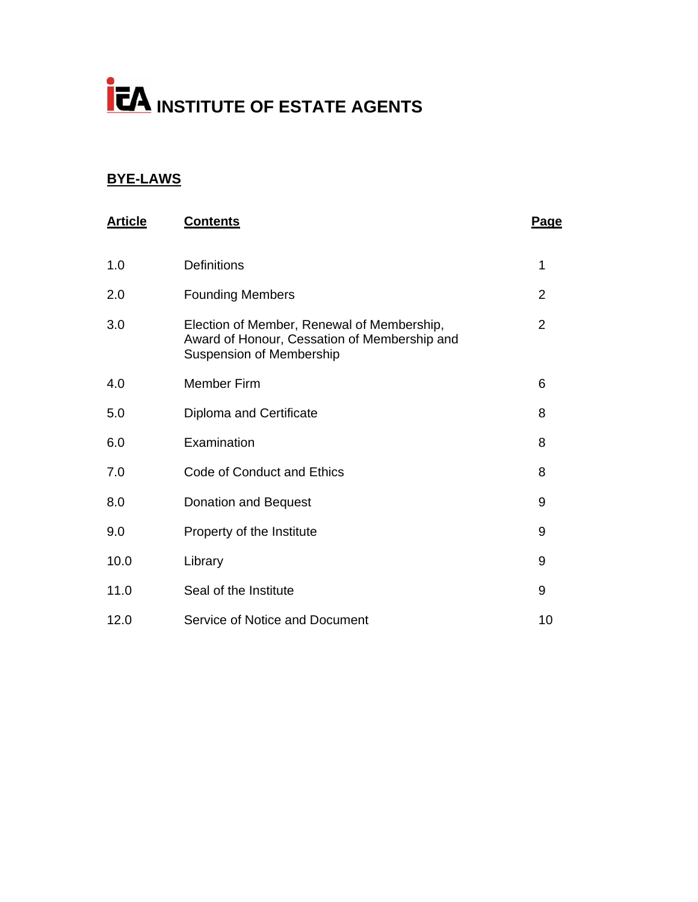# **INSTITUTE OF ESTATE AGENTS**

# **BYE-LAWS**

| <b>Article</b> | <b>Contents</b>                                                                                                               | <b>Page</b>    |
|----------------|-------------------------------------------------------------------------------------------------------------------------------|----------------|
| 1.0            | <b>Definitions</b>                                                                                                            | 1              |
| 2.0            | <b>Founding Members</b>                                                                                                       | $\overline{2}$ |
| 3.0            | Election of Member, Renewal of Membership,<br>Award of Honour, Cessation of Membership and<br><b>Suspension of Membership</b> | $\overline{2}$ |
| 4.0            | <b>Member Firm</b>                                                                                                            | 6              |
| 5.0            | Diploma and Certificate                                                                                                       | 8              |
| 6.0            | Examination                                                                                                                   | 8              |
| 7.0            | Code of Conduct and Ethics                                                                                                    | 8              |
| 8.0            | Donation and Bequest                                                                                                          | 9              |
| 9.0            | Property of the Institute                                                                                                     | 9              |
| 10.0           | Library                                                                                                                       | 9              |
| 11.0           | Seal of the Institute                                                                                                         | 9              |
| 12.0           | Service of Notice and Document                                                                                                | 10             |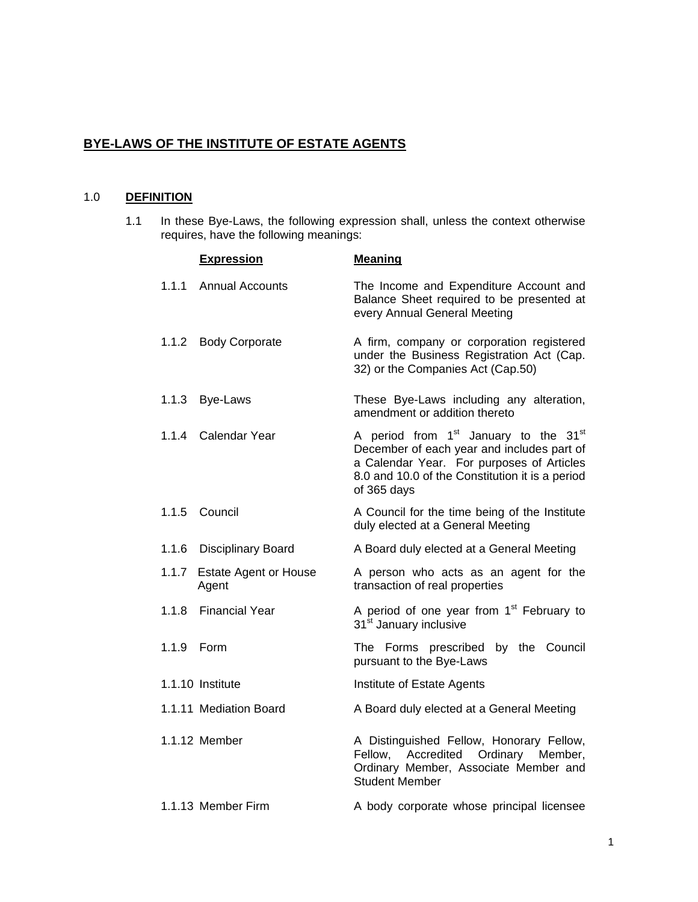# **BYE-LAWS OF THE INSTITUTE OF ESTATE AGENTS**

# 1.0 **DEFINITION**

1.1 In these Bye-Laws, the following expression shall, unless the context otherwise requires, have the following meanings:

|            | <b>Expression</b>                    | <b>Meaning</b>                                                                                                                                                                                                             |
|------------|--------------------------------------|----------------------------------------------------------------------------------------------------------------------------------------------------------------------------------------------------------------------------|
| 1.1.1      | <b>Annual Accounts</b>               | The Income and Expenditure Account and<br>Balance Sheet required to be presented at<br>every Annual General Meeting                                                                                                        |
|            | 1.1.2 Body Corporate                 | A firm, company or corporation registered<br>under the Business Registration Act (Cap.<br>32) or the Companies Act (Cap.50)                                                                                                |
|            | 1.1.3 Bye-Laws                       | These Bye-Laws including any alteration,<br>amendment or addition thereto                                                                                                                                                  |
|            | 1.1.4 Calendar Year                  | A period from 1 <sup>st</sup> January to the 31 <sup>st</sup><br>December of each year and includes part of<br>a Calendar Year. For purposes of Articles<br>8.0 and 10.0 of the Constitution it is a period<br>of 365 days |
|            | 1.1.5 Council                        | A Council for the time being of the Institute<br>duly elected at a General Meeting                                                                                                                                         |
|            | 1.1.6 Disciplinary Board             | A Board duly elected at a General Meeting                                                                                                                                                                                  |
|            | 1.1.7 Estate Agent or House<br>Agent | A person who acts as an agent for the<br>transaction of real properties                                                                                                                                                    |
|            | 1.1.8 Financial Year                 | A period of one year from 1 <sup>st</sup> February to<br>31 <sup>st</sup> January inclusive                                                                                                                                |
| 1.1.9 Form |                                      | The Forms prescribed by the Council<br>pursuant to the Bye-Laws                                                                                                                                                            |
|            | 1.1.10 Institute                     | Institute of Estate Agents                                                                                                                                                                                                 |
|            | 1.1.11 Mediation Board               | A Board duly elected at a General Meeting                                                                                                                                                                                  |
|            | 1.1.12 Member                        | A Distinguished Fellow, Honorary Fellow,<br>Fellow,<br>Accredited Ordinary Member,<br>Ordinary Member, Associate Member and<br><b>Student Member</b>                                                                       |
|            | 1.1.13 Member Firm                   | A body corporate whose principal licensee                                                                                                                                                                                  |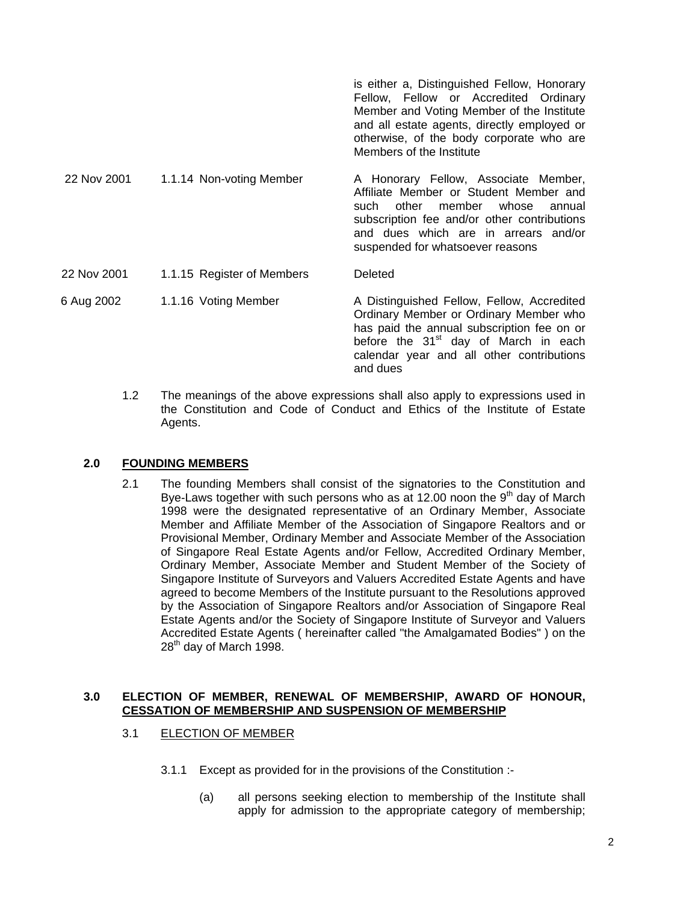|             |                            | is either a, Distinguished Fellow, Honorary<br>Fellow, Fellow or Accredited Ordinary<br>Member and Voting Member of the Institute<br>and all estate agents, directly employed or<br>otherwise, of the body corporate who are<br>Members of the Institute |
|-------------|----------------------------|----------------------------------------------------------------------------------------------------------------------------------------------------------------------------------------------------------------------------------------------------------|
| 22 Nov 2001 | 1.1.14 Non-voting Member   | A Honorary Fellow, Associate Member,<br>Affiliate Member or Student Member and<br>other<br>whose<br>member<br>such<br>annual<br>subscription fee and/or other contributions<br>and dues which are in arrears and/or<br>suspended for whatsoever reasons  |
| 22 Nov 2001 | 1.1.15 Register of Members | Deleted                                                                                                                                                                                                                                                  |
| 6 Aug 2002  | 1.1.16 Voting Member       | A Distinguished Fellow, Fellow, Accredited<br>Ordinary Member or Ordinary Member who<br>has paid the annual subscription fee on or<br>before the 31 <sup>st</sup> day of March in each                                                                   |

1.2 The meanings of the above expressions shall also apply to expressions used in the Constitution and Code of Conduct and Ethics of the Institute of Estate Agents.

and dues

calendar year and all other contributions

# **2.0 FOUNDING MEMBERS**

2.1 The founding Members shall consist of the signatories to the Constitution and Bye-Laws together with such persons who as at 12.00 noon the  $9<sup>th</sup>$  day of March 1998 were the designated representative of an Ordinary Member, Associate Member and Affiliate Member of the Association of Singapore Realtors and or Provisional Member, Ordinary Member and Associate Member of the Association of Singapore Real Estate Agents and/or Fellow, Accredited Ordinary Member, Ordinary Member, Associate Member and Student Member of the Society of Singapore Institute of Surveyors and Valuers Accredited Estate Agents and have agreed to become Members of the Institute pursuant to the Resolutions approved by the Association of Singapore Realtors and/or Association of Singapore Real Estate Agents and/or the Society of Singapore Institute of Surveyor and Valuers Accredited Estate Agents ( hereinafter called "the Amalgamated Bodies" ) on the  $28<sup>th</sup>$  day of March 1998.

#### **3.0 ELECTION OF MEMBER, RENEWAL OF MEMBERSHIP, AWARD OF HONOUR, CESSATION OF MEMBERSHIP AND SUSPENSION OF MEMBERSHIP**

#### 3.1 ELECTION OF MEMBER

- 3.1.1 Except as provided for in the provisions of the Constitution :-
	- (a) all persons seeking election to membership of the Institute shall apply for admission to the appropriate category of membership;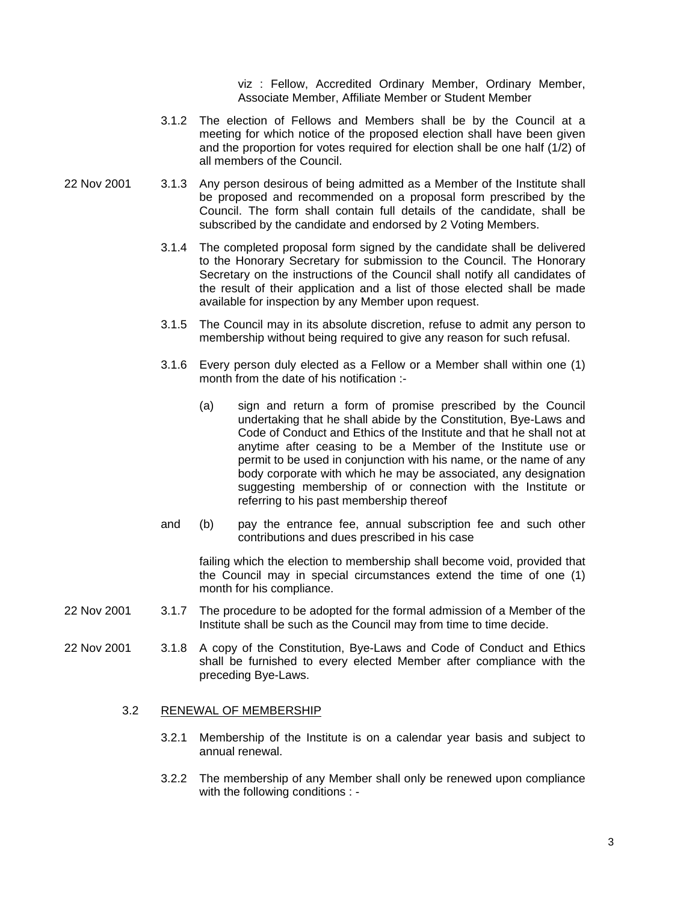viz : Fellow, Accredited Ordinary Member, Ordinary Member, Associate Member, Affiliate Member or Student Member

- 3.1.2 The election of Fellows and Members shall be by the Council at a meeting for which notice of the proposed election shall have been given and the proportion for votes required for election shall be one half (1/2) of all members of the Council.
- 22 Nov 2001 3.1.3 Any person desirous of being admitted as a Member of the Institute shall be proposed and recommended on a proposal form prescribed by the Council. The form shall contain full details of the candidate, shall be subscribed by the candidate and endorsed by 2 Voting Members.
	- 3.1.4 The completed proposal form signed by the candidate shall be delivered to the Honorary Secretary for submission to the Council. The Honorary Secretary on the instructions of the Council shall notify all candidates of the result of their application and a list of those elected shall be made available for inspection by any Member upon request.
	- 3.1.5 The Council may in its absolute discretion, refuse to admit any person to membership without being required to give any reason for such refusal.
	- 3.1.6 Every person duly elected as a Fellow or a Member shall within one (1) month from the date of his notification :-
		- (a) sign and return a form of promise prescribed by the Council undertaking that he shall abide by the Constitution, Bye-Laws and Code of Conduct and Ethics of the Institute and that he shall not at anytime after ceasing to be a Member of the Institute use or permit to be used in conjunction with his name, or the name of any body corporate with which he may be associated, any designation suggesting membership of or connection with the Institute or referring to his past membership thereof
	- and (b) pay the entrance fee, annual subscription fee and such other contributions and dues prescribed in his case

failing which the election to membership shall become void, provided that the Council may in special circumstances extend the time of one (1) month for his compliance.

- 22 Nov 2001 3.1.7 The procedure to be adopted for the formal admission of a Member of the Institute shall be such as the Council may from time to time decide.
- 22 Nov 2001 3.1.8 A copy of the Constitution, Bye-Laws and Code of Conduct and Ethics shall be furnished to every elected Member after compliance with the preceding Bye-Laws.

#### 3.2 RENEWAL OF MEMBERSHIP

- 3.2.1 Membership of the Institute is on a calendar year basis and subject to annual renewal.
- 3.2.2 The membership of any Member shall only be renewed upon compliance with the following conditions : -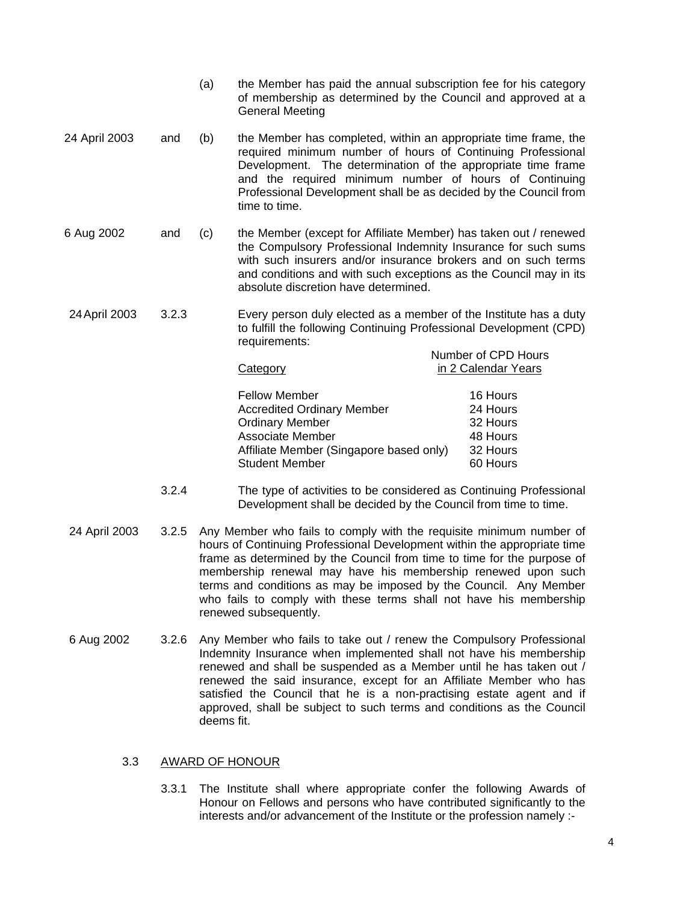|               |       | (a)                                                                                                                                                      | the Member has paid the annual subscription fee for his category<br>of membership as determined by the Council and approved at a<br><b>General Meeting</b>                                                                                                                                                                                    |                     |
|---------------|-------|----------------------------------------------------------------------------------------------------------------------------------------------------------|-----------------------------------------------------------------------------------------------------------------------------------------------------------------------------------------------------------------------------------------------------------------------------------------------------------------------------------------------|---------------------|
| 24 April 2003 | and   | (b)                                                                                                                                                      | the Member has completed, within an appropriate time frame, the<br>required minimum number of hours of Continuing Professional<br>Development. The determination of the appropriate time frame<br>and the required minimum number of hours of Continuing<br>Professional Development shall be as decided by the Council from<br>time to time. |                     |
| 6 Aug 2002    | and   | (c)                                                                                                                                                      | the Member (except for Affiliate Member) has taken out / renewed<br>the Compulsory Professional Indemnity Insurance for such sums<br>with such insurers and/or insurance brokers and on such terms<br>and conditions and with such exceptions as the Council may in its<br>absolute discretion have determined.                               |                     |
| 24 April 2003 | 3.2.3 | Every person duly elected as a member of the Institute has a duty<br>to fulfill the following Continuing Professional Development (CPD)<br>requirements: |                                                                                                                                                                                                                                                                                                                                               |                     |
|               |       |                                                                                                                                                          |                                                                                                                                                                                                                                                                                                                                               | Number of CPD Hours |
|               |       |                                                                                                                                                          | Category                                                                                                                                                                                                                                                                                                                                      | in 2 Calendar Years |
|               |       |                                                                                                                                                          | <b>Fellow Member</b>                                                                                                                                                                                                                                                                                                                          | 16 Hours            |
|               |       |                                                                                                                                                          | A considered $\bigcap$ and a construction of                                                                                                                                                                                                                                                                                                  | <b>0411-1-1</b>     |

 Accredited Ordinary Member 24 Hours Ordinary Member 32 Hours Associate Member 48 Hours Affiliate Member (Singapore based only) 32 Hours Student Member 60 Hours

- 3.2.4 The type of activities to be considered as Continuing Professional Development shall be decided by the Council from time to time.
- 24 April 2003 3.2.5 Any Member who fails to comply with the requisite minimum number of hours of Continuing Professional Development within the appropriate time frame as determined by the Council from time to time for the purpose of membership renewal may have his membership renewed upon such terms and conditions as may be imposed by the Council. Any Member who fails to comply with these terms shall not have his membership renewed subsequently.
- 6 Aug 2002 3.2.6 Any Member who fails to take out / renew the Compulsory Professional Indemnity Insurance when implemented shall not have his membership renewed and shall be suspended as a Member until he has taken out / renewed the said insurance, except for an Affiliate Member who has satisfied the Council that he is a non-practising estate agent and if approved, shall be subject to such terms and conditions as the Council deems fit.

# 3.3 AWARD OF HONOUR

3.3.1 The Institute shall where appropriate confer the following Awards of Honour on Fellows and persons who have contributed significantly to the interests and/or advancement of the Institute or the profession namely :-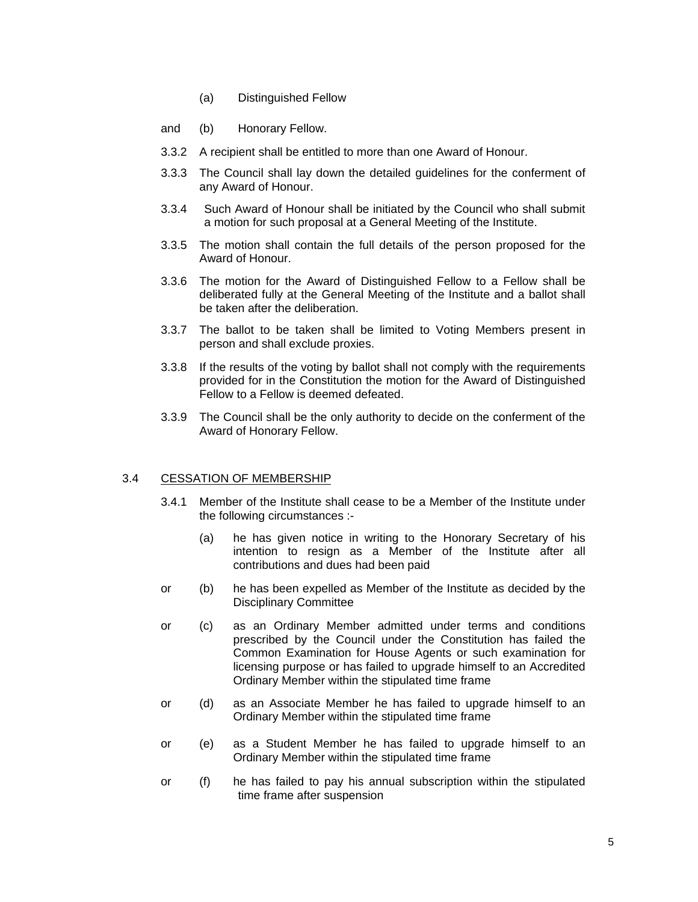- (a) Distinguished Fellow
- and (b) Honorary Fellow.
- 3.3.2 A recipient shall be entitled to more than one Award of Honour.
- 3.3.3 The Council shall lay down the detailed guidelines for the conferment of any Award of Honour.
- 3.3.4 Such Award of Honour shall be initiated by the Council who shall submit a motion for such proposal at a General Meeting of the Institute.
- 3.3.5 The motion shall contain the full details of the person proposed for the Award of Honour.
- 3.3.6 The motion for the Award of Distinguished Fellow to a Fellow shall be deliberated fully at the General Meeting of the Institute and a ballot shall be taken after the deliberation.
- 3.3.7 The ballot to be taken shall be limited to Voting Members present in person and shall exclude proxies.
- 3.3.8 If the results of the voting by ballot shall not comply with the requirements provided for in the Constitution the motion for the Award of Distinguished Fellow to a Fellow is deemed defeated.
- 3.3.9 The Council shall be the only authority to decide on the conferment of the Award of Honorary Fellow.

#### 3.4 CESSATION OF MEMBERSHIP

- 3.4.1 Member of the Institute shall cease to be a Member of the Institute under the following circumstances :-
	- (a) he has given notice in writing to the Honorary Secretary of his intention to resign as a Member of the Institute after all contributions and dues had been paid
- or (b) he has been expelled as Member of the Institute as decided by the Disciplinary Committee
- or (c) as an Ordinary Member admitted under terms and conditions prescribed by the Council under the Constitution has failed the Common Examination for House Agents or such examination for licensing purpose or has failed to upgrade himself to an Accredited Ordinary Member within the stipulated time frame
- or (d) as an Associate Member he has failed to upgrade himself to an Ordinary Member within the stipulated time frame
- or (e) as a Student Member he has failed to upgrade himself to an Ordinary Member within the stipulated time frame
- or (f) he has failed to pay his annual subscription within the stipulated time frame after suspension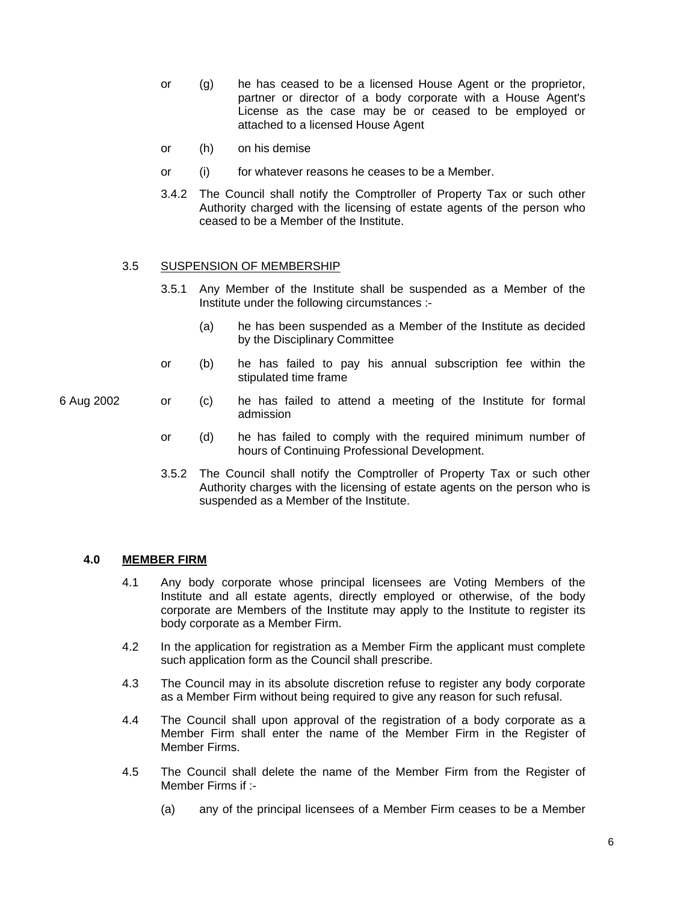- or (g) he has ceased to be a licensed House Agent or the proprietor, partner or director of a body corporate with a House Agent's License as the case may be or ceased to be employed or attached to a licensed House Agent
- or (h) on his demise
- or (i) for whatever reasons he ceases to be a Member.
- 3.4.2 The Council shall notify the Comptroller of Property Tax or such other Authority charged with the licensing of estate agents of the person who ceased to be a Member of the Institute.

#### 3.5 SUSPENSION OF MEMBERSHIP

- 3.5.1 Any Member of the Institute shall be suspended as a Member of the Institute under the following circumstances :-
	- (a) he has been suspended as a Member of the Institute as decided by the Disciplinary Committee
- or (b) he has failed to pay his annual subscription fee within the stipulated time frame
- 6 Aug 2002 or (c) he has failed to attend a meeting of the Institute for formal admission
	- or (d) he has failed to comply with the required minimum number of hours of Continuing Professional Development.
	- 3.5.2 The Council shall notify the Comptroller of Property Tax or such other Authority charges with the licensing of estate agents on the person who is suspended as a Member of the Institute.

# **4.0 MEMBER FIRM**

- 4.1 Any body corporate whose principal licensees are Voting Members of the Institute and all estate agents, directly employed or otherwise, of the body corporate are Members of the Institute may apply to the Institute to register its body corporate as a Member Firm.
- 4.2 In the application for registration as a Member Firm the applicant must complete such application form as the Council shall prescribe.
- 4.3 The Council may in its absolute discretion refuse to register any body corporate as a Member Firm without being required to give any reason for such refusal.
- 4.4 The Council shall upon approval of the registration of a body corporate as a Member Firm shall enter the name of the Member Firm in the Register of Member Firms.
- 4.5 The Council shall delete the name of the Member Firm from the Register of Member Firms if :-
	- (a) any of the principal licensees of a Member Firm ceases to be a Member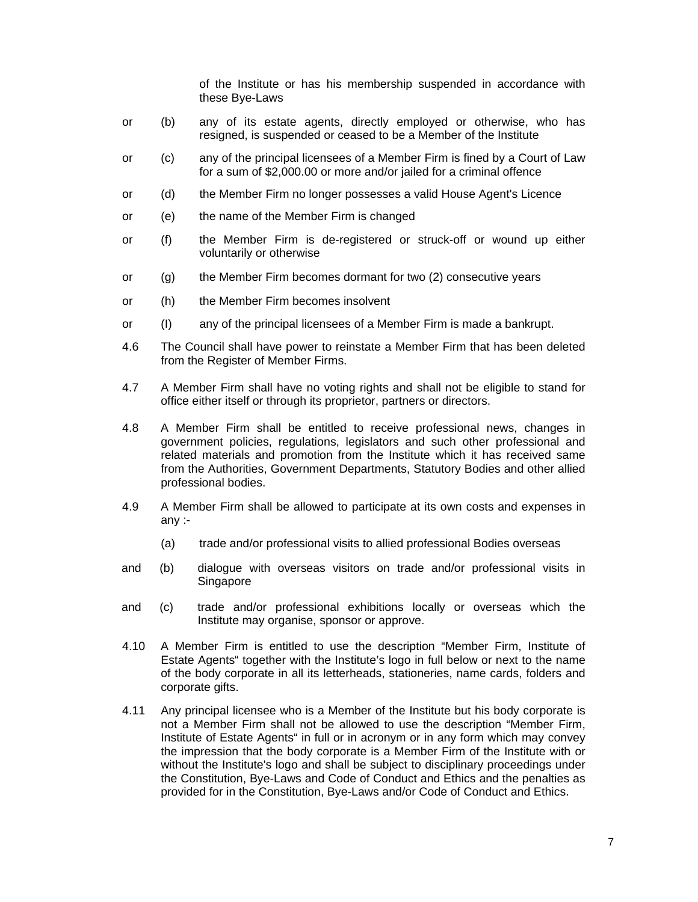of the Institute or has his membership suspended in accordance with these Bye-Laws

- or (b) any of its estate agents, directly employed or otherwise, who has resigned, is suspended or ceased to be a Member of the Institute
- or (c) any of the principal licensees of a Member Firm is fined by a Court of Law for a sum of \$2,000.00 or more and/or jailed for a criminal offence
- or (d) the Member Firm no longer possesses a valid House Agent's Licence
- or (e) the name of the Member Firm is changed
- or (f) the Member Firm is de-registered or struck-off or wound up either voluntarily or otherwise
- or (g) the Member Firm becomes dormant for two (2) consecutive years
- or (h) the Member Firm becomes insolvent
- or (I) any of the principal licensees of a Member Firm is made a bankrupt.
- 4.6 The Council shall have power to reinstate a Member Firm that has been deleted from the Register of Member Firms.
- 4.7 A Member Firm shall have no voting rights and shall not be eligible to stand for office either itself or through its proprietor, partners or directors.
- 4.8 A Member Firm shall be entitled to receive professional news, changes in government policies, regulations, legislators and such other professional and related materials and promotion from the Institute which it has received same from the Authorities, Government Departments, Statutory Bodies and other allied professional bodies.
- 4.9 A Member Firm shall be allowed to participate at its own costs and expenses in any :-
	- (a) trade and/or professional visits to allied professional Bodies overseas
- and (b) dialogue with overseas visitors on trade and/or professional visits in Singapore
- and (c) trade and/or professional exhibitions locally or overseas which the Institute may organise, sponsor or approve.
- 4.10 A Member Firm is entitled to use the description "Member Firm, Institute of Estate Agents" together with the Institute's logo in full below or next to the name of the body corporate in all its letterheads, stationeries, name cards, folders and corporate gifts.
- 4.11 Any principal licensee who is a Member of the Institute but his body corporate is not a Member Firm shall not be allowed to use the description "Member Firm, Institute of Estate Agents" in full or in acronym or in any form which may convey the impression that the body corporate is a Member Firm of the Institute with or without the Institute's logo and shall be subject to disciplinary proceedings under the Constitution, Bye-Laws and Code of Conduct and Ethics and the penalties as provided for in the Constitution, Bye-Laws and/or Code of Conduct and Ethics.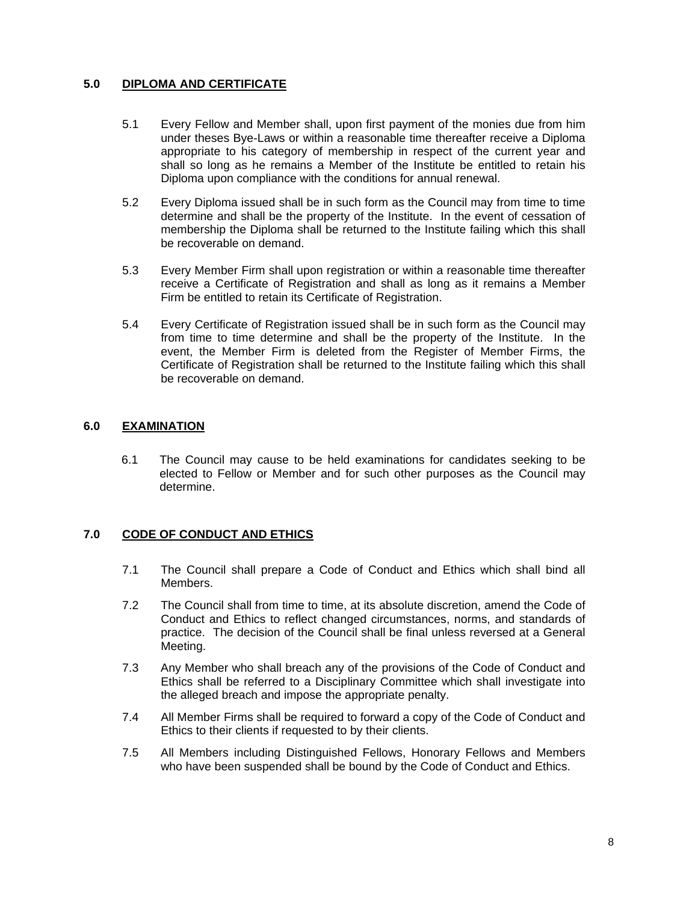# **5.0 DIPLOMA AND CERTIFICATE**

- 5.1 Every Fellow and Member shall, upon first payment of the monies due from him under theses Bye-Laws or within a reasonable time thereafter receive a Diploma appropriate to his category of membership in respect of the current year and shall so long as he remains a Member of the Institute be entitled to retain his Diploma upon compliance with the conditions for annual renewal.
- 5.2 Every Diploma issued shall be in such form as the Council may from time to time determine and shall be the property of the Institute. In the event of cessation of membership the Diploma shall be returned to the Institute failing which this shall be recoverable on demand.
- 5.3 Every Member Firm shall upon registration or within a reasonable time thereafter receive a Certificate of Registration and shall as long as it remains a Member Firm be entitled to retain its Certificate of Registration.
- 5.4 Every Certificate of Registration issued shall be in such form as the Council may from time to time determine and shall be the property of the Institute. In the event, the Member Firm is deleted from the Register of Member Firms, the Certificate of Registration shall be returned to the Institute failing which this shall be recoverable on demand.

# **6.0 EXAMINATION**

6.1 The Council may cause to be held examinations for candidates seeking to be elected to Fellow or Member and for such other purposes as the Council may determine.

# **7.0 CODE OF CONDUCT AND ETHICS**

- 7.1 The Council shall prepare a Code of Conduct and Ethics which shall bind all Members.
- 7.2 The Council shall from time to time, at its absolute discretion, amend the Code of Conduct and Ethics to reflect changed circumstances, norms, and standards of practice. The decision of the Council shall be final unless reversed at a General Meeting.
- 7.3 Any Member who shall breach any of the provisions of the Code of Conduct and Ethics shall be referred to a Disciplinary Committee which shall investigate into the alleged breach and impose the appropriate penalty.
- 7.4 All Member Firms shall be required to forward a copy of the Code of Conduct and Ethics to their clients if requested to by their clients.
- 7.5 All Members including Distinguished Fellows, Honorary Fellows and Members who have been suspended shall be bound by the Code of Conduct and Ethics.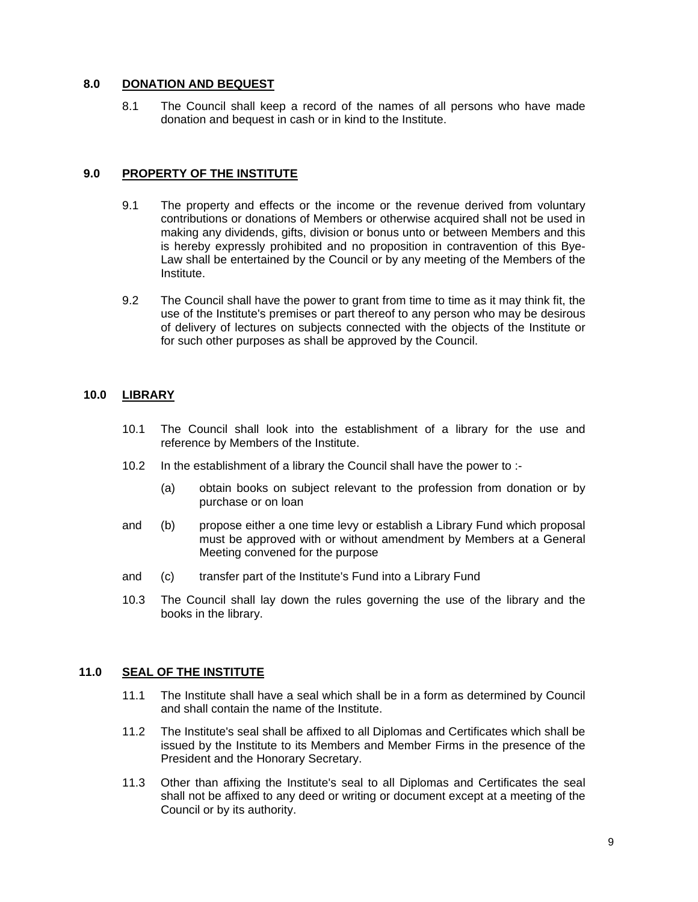# **8.0 DONATION AND BEQUEST**

8.1 The Council shall keep a record of the names of all persons who have made donation and bequest in cash or in kind to the Institute.

### **9.0 PROPERTY OF THE INSTITUTE**

- 9.1 The property and effects or the income or the revenue derived from voluntary contributions or donations of Members or otherwise acquired shall not be used in making any dividends, gifts, division or bonus unto or between Members and this is hereby expressly prohibited and no proposition in contravention of this Bye-Law shall be entertained by the Council or by any meeting of the Members of the Institute.
- 9.2 The Council shall have the power to grant from time to time as it may think fit, the use of the Institute's premises or part thereof to any person who may be desirous of delivery of lectures on subjects connected with the objects of the Institute or for such other purposes as shall be approved by the Council.

# **10.0 LIBRARY**

- 10.1 The Council shall look into the establishment of a library for the use and reference by Members of the Institute.
- 10.2 In the establishment of a library the Council shall have the power to :-
	- (a) obtain books on subject relevant to the profession from donation or by purchase or on loan
- and (b) propose either a one time levy or establish a Library Fund which proposal must be approved with or without amendment by Members at a General Meeting convened for the purpose
- and (c) transfer part of the Institute's Fund into a Library Fund
- 10.3 The Council shall lay down the rules governing the use of the library and the books in the library.

# **11.0 SEAL OF THE INSTITUTE**

- 11.1 The Institute shall have a seal which shall be in a form as determined by Council and shall contain the name of the Institute.
- 11.2 The Institute's seal shall be affixed to all Diplomas and Certificates which shall be issued by the Institute to its Members and Member Firms in the presence of the President and the Honorary Secretary.
- 11.3 Other than affixing the Institute's seal to all Diplomas and Certificates the seal shall not be affixed to any deed or writing or document except at a meeting of the Council or by its authority.